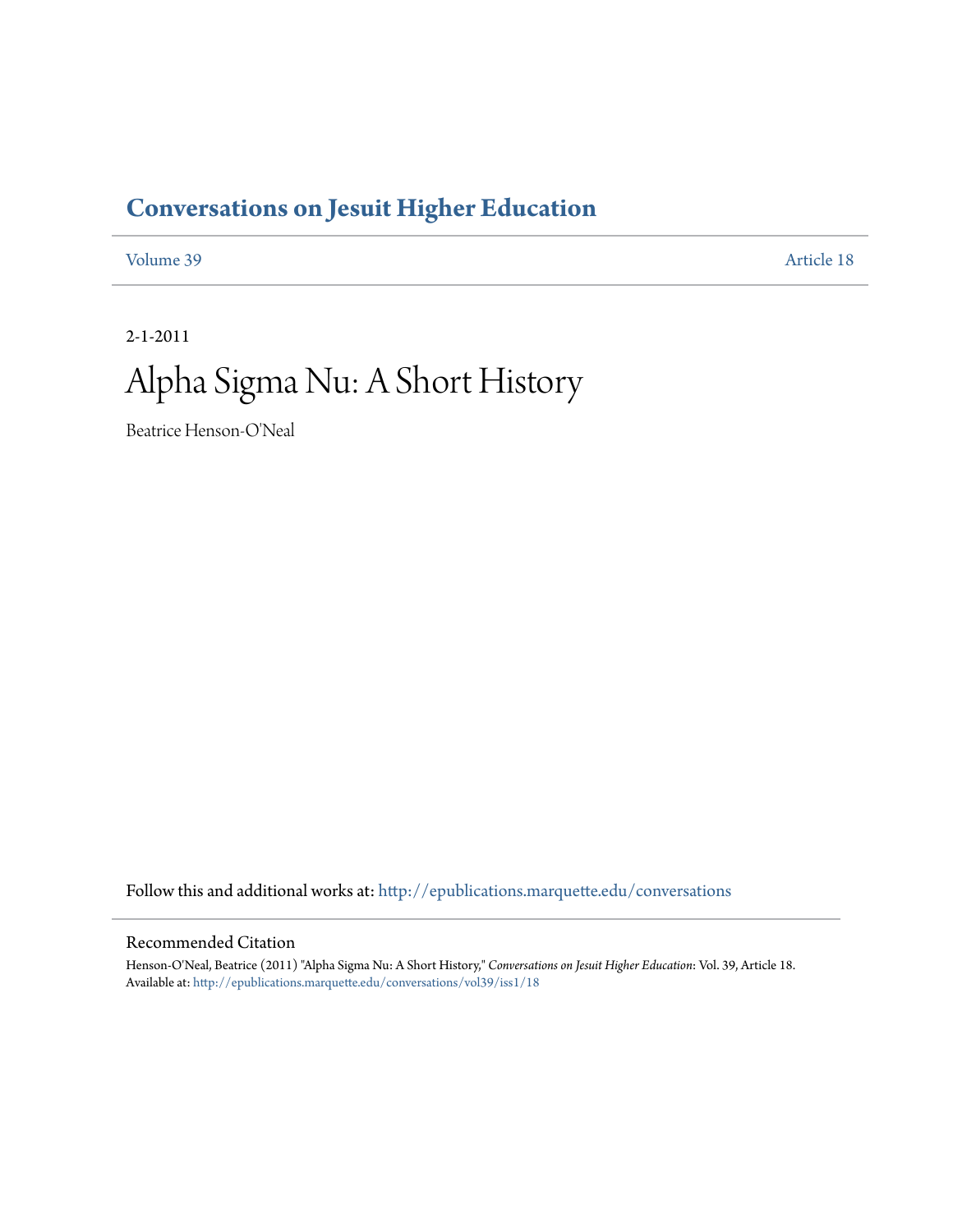### **[Conversations on Jesuit Higher Education](http://epublications.marquette.edu/conversations?utm_source=epublications.marquette.edu%2Fconversations%2Fvol39%2Fiss1%2F18&utm_medium=PDF&utm_campaign=PDFCoverPages)**

[Volume 39](http://epublications.marquette.edu/conversations/vol39?utm_source=epublications.marquette.edu%2Fconversations%2Fvol39%2Fiss1%2F18&utm_medium=PDF&utm_campaign=PDFCoverPages) [Article 18](http://epublications.marquette.edu/conversations/vol39/iss1/18?utm_source=epublications.marquette.edu%2Fconversations%2Fvol39%2Fiss1%2F18&utm_medium=PDF&utm_campaign=PDFCoverPages)

2-1-2011

## Alpha Sigma Nu: A Short History

Beatrice Henson-O'Neal

Follow this and additional works at: [http://epublications.marquette.edu/conversations](http://epublications.marquette.edu/conversations?utm_source=epublications.marquette.edu%2Fconversations%2Fvol39%2Fiss1%2F18&utm_medium=PDF&utm_campaign=PDFCoverPages)

#### Recommended Citation

Henson-O'Neal, Beatrice (2011) "Alpha Sigma Nu: A Short History," *Conversations on Jesuit Higher Education*: Vol. 39, Article 18. Available at: [http://epublications.marquette.edu/conversations/vol39/iss1/18](http://epublications.marquette.edu/conversations/vol39/iss1/18?utm_source=epublications.marquette.edu%2Fconversations%2Fvol39%2Fiss1%2F18&utm_medium=PDF&utm_campaign=PDFCoverPages)